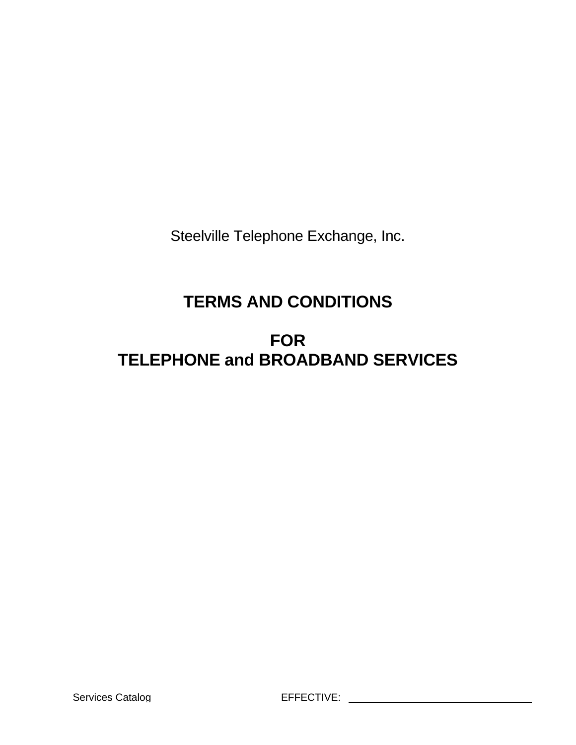Steelville Telephone Exchange, Inc.

# **TERMS AND CONDITIONS**

# **FOR TELEPHONE and BROADBAND SERVICES**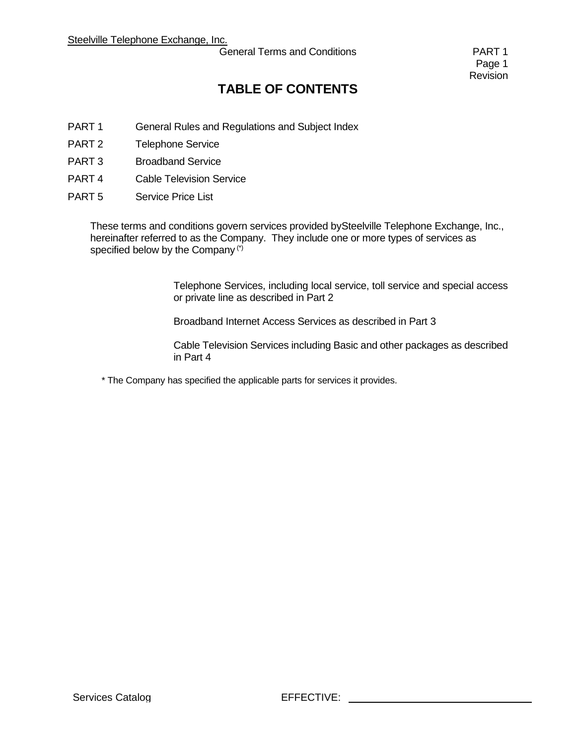General Terms and Conditions **PART 1** 

Page 1 Revision

## **TABLE OF CONTENTS**

- PART 1 General Rules and Regulations and Subject Index
- PART 2 Telephone Service
- PART 3 Broadband Service
- PART 4 Cable Television Service
- PART 5 Service Price List

These terms and conditions govern services provided bySteelville Telephone Exchange, Inc., hereinafter referred to as the Company. They include one or more types of services as specified below by the Company<sup>(\*)</sup>

> Telephone Services, including local service, toll service and special access or private line as described in Part 2

Broadband Internet Access Services as described in Part 3

Cable Television Services including Basic and other packages as described in Part 4

\* The Company has specified the applicable parts for services it provides.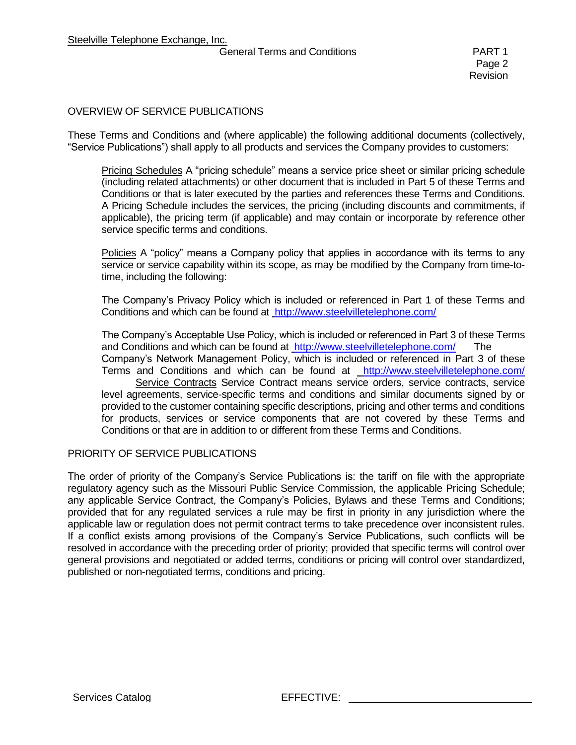#### General Terms and Conditions **PART 1**

### OVERVIEW OF SERVICE PUBLICATIONS

These Terms and Conditions and (where applicable) the following additional documents (collectively, "Service Publications") shall apply to all products and services the Company provides to customers:

Pricing Schedules A "pricing schedule" means a service price sheet or similar pricing schedule (including related attachments) or other document that is included in Part 5 of these Terms and Conditions or that is later executed by the parties and references these Terms and Conditions. A Pricing Schedule includes the services, the pricing (including discounts and commitments, if applicable), the pricing term (if applicable) and may contain or incorporate by reference other service specific terms and conditions.

Policies A "policy" means a Company policy that applies in accordance with its terms to any service or service capability within its scope, as may be modified by the Company from time-totime, including the following:

The Company's Privacy Policy which is included or referenced in Part 1 of these Terms and Conditions and which can be found at <http://www.steelvilletelephone.com/>

The Company's Acceptable Use Policy, which is included or referenced in Part 3 of these Terms and Conditions and which can be found at<http://www.steelvilletelephone.com/> The Company's Network Management Policy, which is included or referenced in Part 3 of these Terms and Conditions and which can be found at <http://www.steelvilletelephone.com/> Service Contracts Service Contract means service orders, service contracts, service level agreements, service-specific terms and conditions and similar documents signed by or provided to the customer containing specific descriptions, pricing and other terms and conditions for products, services or service components that are not covered by these Terms and Conditions or that are in addition to or different from these Terms and Conditions.

#### PRIORITY OF SERVICE PUBLICATIONS

The order of priority of the Company's Service Publications is: the tariff on file with the appropriate regulatory agency such as the Missouri Public Service Commission, the applicable Pricing Schedule; any applicable Service Contract, the Company's Policies, Bylaws and these Terms and Conditions; provided that for any regulated services a rule may be first in priority in any jurisdiction where the applicable law or regulation does not permit contract terms to take precedence over inconsistent rules. If a conflict exists among provisions of the Company's Service Publications, such conflicts will be resolved in accordance with the preceding order of priority; provided that specific terms will control over general provisions and negotiated or added terms, conditions or pricing will control over standardized, published or non-negotiated terms, conditions and pricing.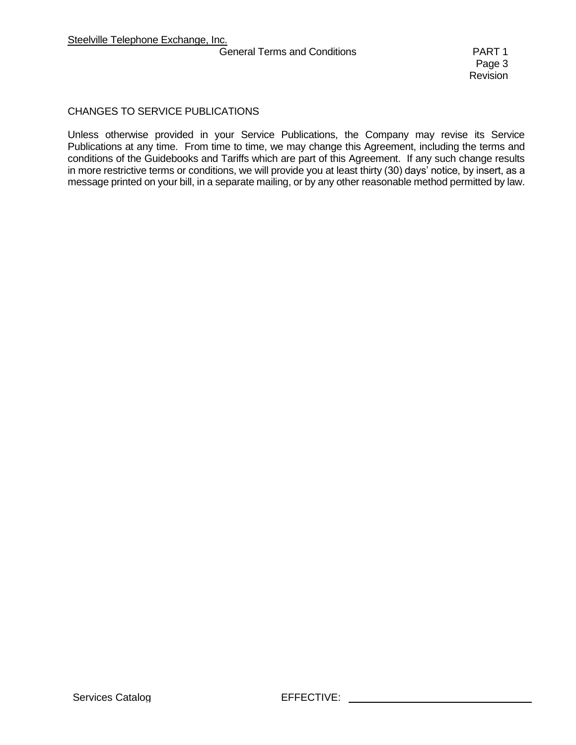#### General Terms and Conditions **PART 1**

### CHANGES TO SERVICE PUBLICATIONS

Unless otherwise provided in your Service Publications, the Company may revise its Service Publications at any time. From time to time, we may change this Agreement, including the terms and conditions of the Guidebooks and Tariffs which are part of this Agreement. If any such change results in more restrictive terms or conditions, we will provide you at least thirty (30) days' notice, by insert, as a message printed on your bill, in a separate mailing, or by any other reasonable method permitted by law.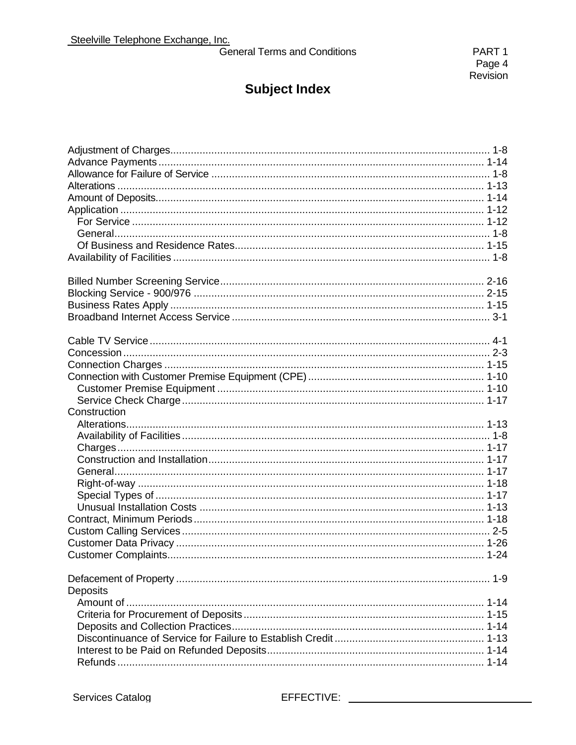General Terms and Conditions

| Construction |  |
|--------------|--|
|              |  |
|              |  |
|              |  |
|              |  |
|              |  |
|              |  |
|              |  |
|              |  |
|              |  |
|              |  |
|              |  |
|              |  |
|              |  |
| Deposits     |  |
|              |  |
|              |  |
|              |  |
|              |  |
|              |  |
|              |  |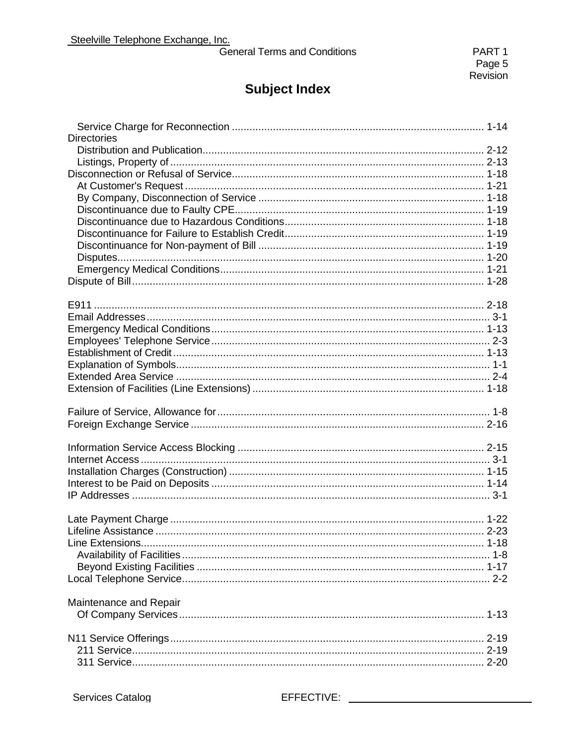General Terms and Conditions

| <b>Directories</b>     |  |
|------------------------|--|
|                        |  |
|                        |  |
|                        |  |
|                        |  |
|                        |  |
|                        |  |
|                        |  |
|                        |  |
|                        |  |
|                        |  |
|                        |  |
|                        |  |
|                        |  |
|                        |  |
|                        |  |
|                        |  |
|                        |  |
|                        |  |
|                        |  |
|                        |  |
|                        |  |
|                        |  |
|                        |  |
|                        |  |
|                        |  |
|                        |  |
|                        |  |
|                        |  |
|                        |  |
|                        |  |
|                        |  |
|                        |  |
|                        |  |
|                        |  |
|                        |  |
|                        |  |
| Maintenance and Repair |  |
|                        |  |
|                        |  |
|                        |  |
|                        |  |
|                        |  |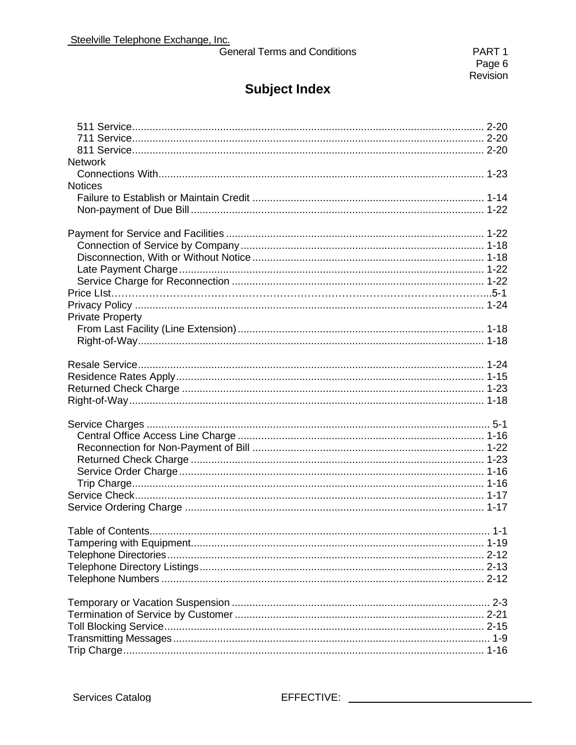| <b>General Terms and Conditions</b> |  |  |
|-------------------------------------|--|--|
|                                     |  |  |

| <b>Network</b>          |  |
|-------------------------|--|
|                         |  |
| <b>Notices</b>          |  |
|                         |  |
|                         |  |
|                         |  |
|                         |  |
|                         |  |
|                         |  |
|                         |  |
|                         |  |
|                         |  |
|                         |  |
| <b>Private Property</b> |  |
|                         |  |
|                         |  |
|                         |  |
|                         |  |
|                         |  |
|                         |  |
|                         |  |
|                         |  |
|                         |  |
|                         |  |
|                         |  |
|                         |  |
|                         |  |
|                         |  |
|                         |  |
|                         |  |
|                         |  |
|                         |  |
|                         |  |
|                         |  |
|                         |  |
|                         |  |
|                         |  |
|                         |  |
|                         |  |
|                         |  |
|                         |  |
|                         |  |
|                         |  |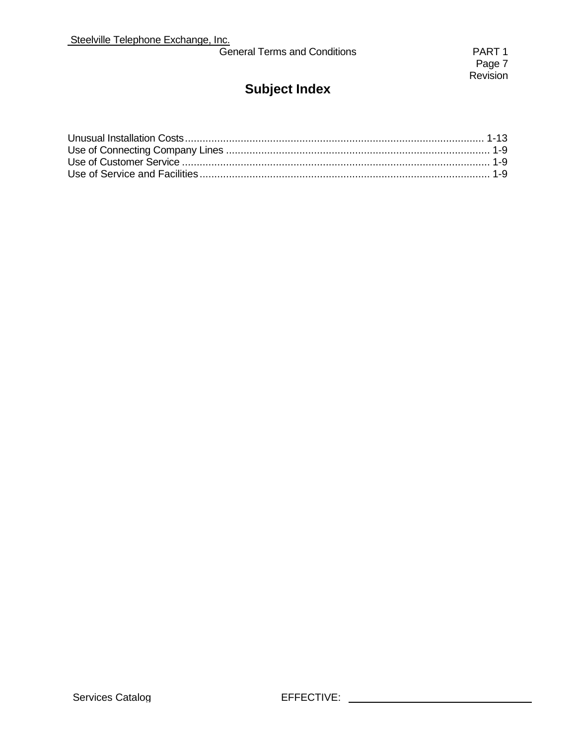|  | <b>General Terms and Conditions</b> |
|--|-------------------------------------|
|--|-------------------------------------|

PART 1 Page 7 Revision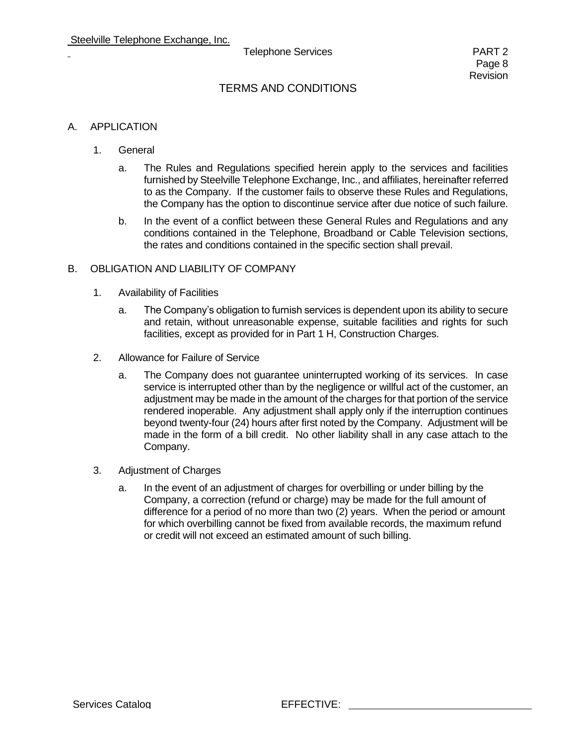## TERMS AND CONDITIONS

#### A. APPLICATION

- 1. General
	- a. The Rules and Regulations specified herein apply to the services and facilities furnished by Steelville Telephone Exchange, Inc., and affiliates, hereinafter referred to as the Company. If the customer fails to observe these Rules and Regulations, the Company has the option to discontinue service after due notice of such failure.
	- b. In the event of a conflict between these General Rules and Regulations and any conditions contained in the Telephone, Broadband or Cable Television sections, the rates and conditions contained in the specific section shall prevail.

#### B. OBLIGATION AND LIABILITY OF COMPANY

- 1. Availability of Facilities
	- a. The Company's obligation to furnish services is dependent upon its ability to secure and retain, without unreasonable expense, suitable facilities and rights for such facilities, except as provided for in Part 1 H, Construction Charges.
- 2. Allowance for Failure of Service
	- a. The Company does not guarantee uninterrupted working of its services. In case service is interrupted other than by the negligence or willful act of the customer, an adjustment may be made in the amount of the charges for that portion of the service rendered inoperable. Any adjustment shall apply only if the interruption continues beyond twenty-four (24) hours after first noted by the Company. Adjustment will be made in the form of a bill credit. No other liability shall in any case attach to the Company.
- 3. Adjustment of Charges
	- a. In the event of an adjustment of charges for overbilling or under billing by the Company, a correction (refund or charge) may be made for the full amount of difference for a period of no more than two (2) years. When the period or amount for which overbilling cannot be fixed from available records, the maximum refund or credit will not exceed an estimated amount of such billing.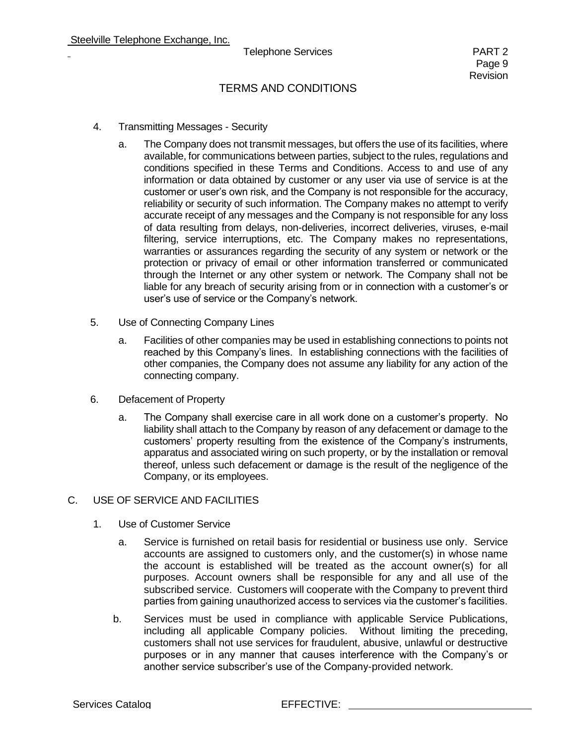- 4. Transmitting Messages Security
	- a. The Company does not transmit messages, but offers the use of its facilities, where available, for communications between parties, subject to the rules, regulations and conditions specified in these Terms and Conditions. Access to and use of any information or data obtained by customer or any user via use of service is at the customer or user's own risk, and the Company is not responsible for the accuracy, reliability or security of such information. The Company makes no attempt to verify accurate receipt of any messages and the Company is not responsible for any loss of data resulting from delays, non-deliveries, incorrect deliveries, viruses, e-mail filtering, service interruptions, etc. The Company makes no representations, warranties or assurances regarding the security of any system or network or the protection or privacy of email or other information transferred or communicated through the Internet or any other system or network. The Company shall not be liable for any breach of security arising from or in connection with a customer's or user's use of service or the Company's network.
- 5. Use of Connecting Company Lines
	- a. Facilities of other companies may be used in establishing connections to points not reached by this Company's lines. In establishing connections with the facilities of other companies, the Company does not assume any liability for any action of the connecting company.
- 6. Defacement of Property
	- a. The Company shall exercise care in all work done on a customer's property. No liability shall attach to the Company by reason of any defacement or damage to the customers' property resulting from the existence of the Company's instruments, apparatus and associated wiring on such property, or by the installation or removal thereof, unless such defacement or damage is the result of the negligence of the Company, or its employees.

#### C. USE OF SERVICE AND FACILITIES

- 1. Use of Customer Service
	- a. Service is furnished on retail basis for residential or business use only. Service accounts are assigned to customers only, and the customer(s) in whose name the account is established will be treated as the account owner(s) for all purposes. Account owners shall be responsible for any and all use of the subscribed service. Customers will cooperate with the Company to prevent third parties from gaining unauthorized access to services via the customer's facilities.
	- b. Services must be used in compliance with applicable Service Publications, including all applicable Company policies. Without limiting the preceding, customers shall not use services for fraudulent, abusive, unlawful or destructive purposes or in any manner that causes interference with the Company's or another service subscriber's use of the Company-provided network.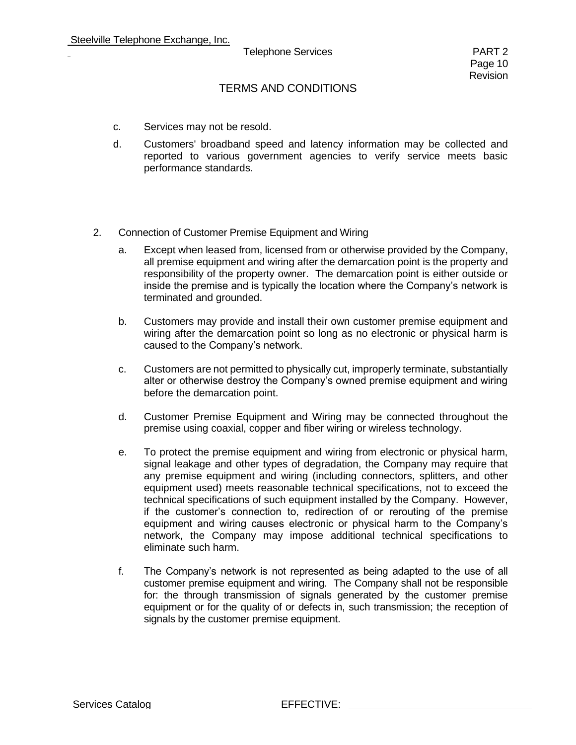- c. Services may not be resold.
- d. Customers' broadband speed and latency information may be collected and reported to various government agencies to verify service meets basic performance standards.
- 2. Connection of Customer Premise Equipment and Wiring
	- a. Except when leased from, licensed from or otherwise provided by the Company, all premise equipment and wiring after the demarcation point is the property and responsibility of the property owner. The demarcation point is either outside or inside the premise and is typically the location where the Company's network is terminated and grounded.
	- b. Customers may provide and install their own customer premise equipment and wiring after the demarcation point so long as no electronic or physical harm is caused to the Company's network.
	- c. Customers are not permitted to physically cut, improperly terminate, substantially alter or otherwise destroy the Company's owned premise equipment and wiring before the demarcation point.
	- d. Customer Premise Equipment and Wiring may be connected throughout the premise using coaxial, copper and fiber wiring or wireless technology.
	- e. To protect the premise equipment and wiring from electronic or physical harm, signal leakage and other types of degradation, the Company may require that any premise equipment and wiring (including connectors, splitters, and other equipment used) meets reasonable technical specifications, not to exceed the technical specifications of such equipment installed by the Company. However, if the customer's connection to, redirection of or rerouting of the premise equipment and wiring causes electronic or physical harm to the Company's network, the Company may impose additional technical specifications to eliminate such harm.
	- f. The Company's network is not represented as being adapted to the use of all customer premise equipment and wiring. The Company shall not be responsible for: the through transmission of signals generated by the customer premise equipment or for the quality of or defects in, such transmission; the reception of signals by the customer premise equipment.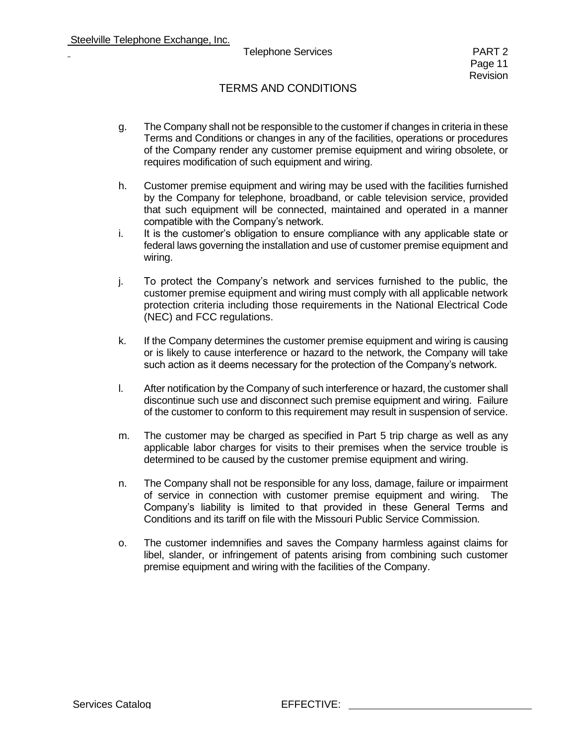- g. The Company shall not be responsible to the customer if changes in criteria in these Terms and Conditions or changes in any of the facilities, operations or procedures of the Company render any customer premise equipment and wiring obsolete, or requires modification of such equipment and wiring.
- h. Customer premise equipment and wiring may be used with the facilities furnished by the Company for telephone, broadband, or cable television service, provided that such equipment will be connected, maintained and operated in a manner compatible with the Company's network.
- i. It is the customer's obligation to ensure compliance with any applicable state or federal laws governing the installation and use of customer premise equipment and wiring.
- j. To protect the Company's network and services furnished to the public, the customer premise equipment and wiring must comply with all applicable network protection criteria including those requirements in the National Electrical Code (NEC) and FCC regulations.
- k. If the Company determines the customer premise equipment and wiring is causing or is likely to cause interference or hazard to the network, the Company will take such action as it deems necessary for the protection of the Company's network.
- l. After notification by the Company of such interference or hazard, the customer shall discontinue such use and disconnect such premise equipment and wiring. Failure of the customer to conform to this requirement may result in suspension of service.
- m. The customer may be charged as specified in Part 5 trip charge as well as any applicable labor charges for visits to their premises when the service trouble is determined to be caused by the customer premise equipment and wiring.
- n. The Company shall not be responsible for any loss, damage, failure or impairment of service in connection with customer premise equipment and wiring. The Company's liability is limited to that provided in these General Terms and Conditions and its tariff on file with the Missouri Public Service Commission.
- o. The customer indemnifies and saves the Company harmless against claims for libel, slander, or infringement of patents arising from combining such customer premise equipment and wiring with the facilities of the Company.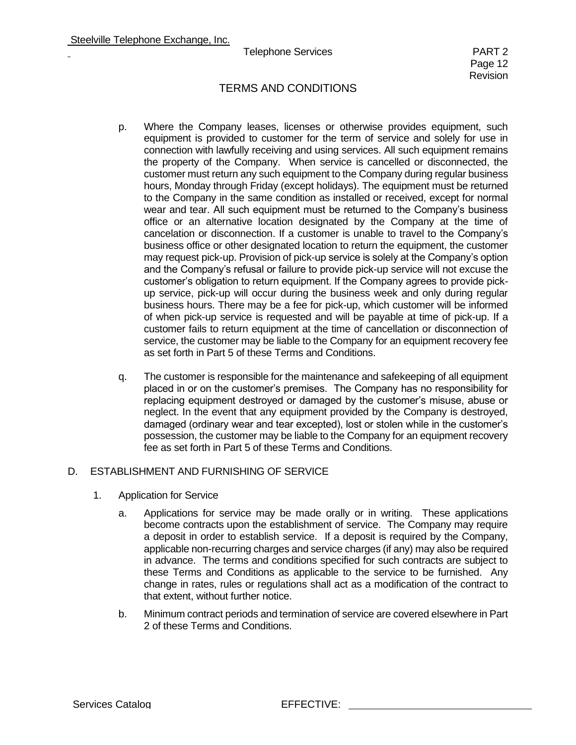## TERMS AND CONDITIONS

- p. Where the Company leases, licenses or otherwise provides equipment, such equipment is provided to customer for the term of service and solely for use in connection with lawfully receiving and using services. All such equipment remains the property of the Company. When service is cancelled or disconnected, the customer must return any such equipment to the Company during regular business hours, Monday through Friday (except holidays). The equipment must be returned to the Company in the same condition as installed or received, except for normal wear and tear. All such equipment must be returned to the Company's business office or an alternative location designated by the Company at the time of cancelation or disconnection. If a customer is unable to travel to the Company's business office or other designated location to return the equipment, the customer may request pick-up. Provision of pick-up service is solely at the Company's option and the Company's refusal or failure to provide pick-up service will not excuse the customer's obligation to return equipment. If the Company agrees to provide pickup service, pick-up will occur during the business week and only during regular business hours. There may be a fee for pick-up, which customer will be informed of when pick-up service is requested and will be payable at time of pick-up. If a customer fails to return equipment at the time of cancellation or disconnection of service, the customer may be liable to the Company for an equipment recovery fee as set forth in Part 5 of these Terms and Conditions.
- q. The customer is responsible for the maintenance and safekeeping of all equipment placed in or on the customer's premises. The Company has no responsibility for replacing equipment destroyed or damaged by the customer's misuse, abuse or neglect. In the event that any equipment provided by the Company is destroyed, damaged (ordinary wear and tear excepted), lost or stolen while in the customer's possession, the customer may be liable to the Company for an equipment recovery fee as set forth in Part 5 of these Terms and Conditions.

#### D. ESTABLISHMENT AND FURNISHING OF SERVICE

- 1. Application for Service
	- a. Applications for service may be made orally or in writing. These applications become contracts upon the establishment of service. The Company may require a deposit in order to establish service. If a deposit is required by the Company, applicable non-recurring charges and service charges (if any) may also be required in advance. The terms and conditions specified for such contracts are subject to these Terms and Conditions as applicable to the service to be furnished. Any change in rates, rules or regulations shall act as a modification of the contract to that extent, without further notice.
	- b. Minimum contract periods and termination of service are covered elsewhere in Part 2 of these Terms and Conditions.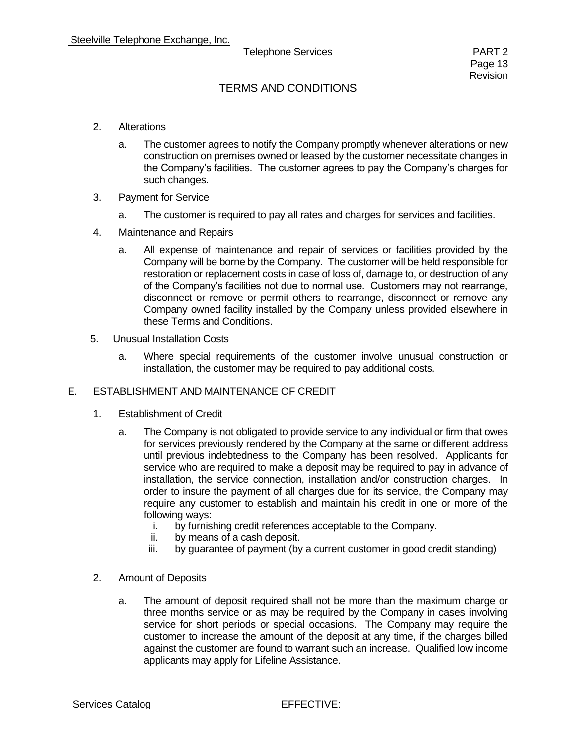- 2. Alterations
	- a. The customer agrees to notify the Company promptly whenever alterations or new construction on premises owned or leased by the customer necessitate changes in the Company's facilities. The customer agrees to pay the Company's charges for such changes.
- 3. Payment for Service
	- a. The customer is required to pay all rates and charges for services and facilities.
- 4. Maintenance and Repairs
	- a. All expense of maintenance and repair of services or facilities provided by the Company will be borne by the Company. The customer will be held responsible for restoration or replacement costs in case of loss of, damage to, or destruction of any of the Company's facilities not due to normal use. Customers may not rearrange, disconnect or remove or permit others to rearrange, disconnect or remove any Company owned facility installed by the Company unless provided elsewhere in these Terms and Conditions.
- 5. Unusual Installation Costs
	- a. Where special requirements of the customer involve unusual construction or installation, the customer may be required to pay additional costs.

#### E. ESTABLISHMENT AND MAINTENANCE OF CREDIT

- 1. Establishment of Credit
	- a. The Company is not obligated to provide service to any individual or firm that owes for services previously rendered by the Company at the same or different address until previous indebtedness to the Company has been resolved. Applicants for service who are required to make a deposit may be required to pay in advance of installation, the service connection, installation and/or construction charges. In order to insure the payment of all charges due for its service, the Company may require any customer to establish and maintain his credit in one or more of the following ways:
		- i. by furnishing credit references acceptable to the Company.
		- ii. by means of a cash deposit.
		- iii. by guarantee of payment (by a current customer in good credit standing)
- 2. Amount of Deposits
	- a. The amount of deposit required shall not be more than the maximum charge or three months service or as may be required by the Company in cases involving service for short periods or special occasions. The Company may require the customer to increase the amount of the deposit at any time, if the charges billed against the customer are found to warrant such an increase. Qualified low income applicants may apply for Lifeline Assistance.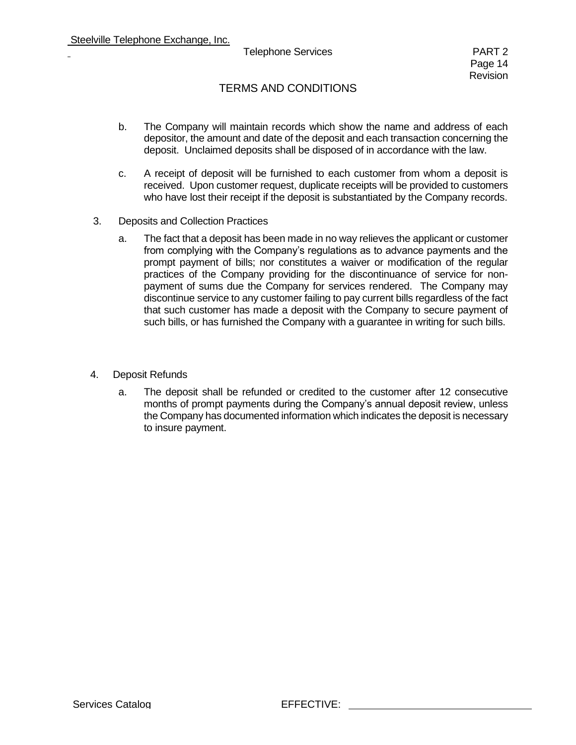- b. The Company will maintain records which show the name and address of each depositor, the amount and date of the deposit and each transaction concerning the deposit. Unclaimed deposits shall be disposed of in accordance with the law.
- c. A receipt of deposit will be furnished to each customer from whom a deposit is received. Upon customer request, duplicate receipts will be provided to customers who have lost their receipt if the deposit is substantiated by the Company records.
- 3. Deposits and Collection Practices
	- a. The fact that a deposit has been made in no way relieves the applicant or customer from complying with the Company's regulations as to advance payments and the prompt payment of bills; nor constitutes a waiver or modification of the regular practices of the Company providing for the discontinuance of service for nonpayment of sums due the Company for services rendered. The Company may discontinue service to any customer failing to pay current bills regardless of the fact that such customer has made a deposit with the Company to secure payment of such bills, or has furnished the Company with a guarantee in writing for such bills.
- 4. Deposit Refunds
	- a. The deposit shall be refunded or credited to the customer after 12 consecutive months of prompt payments during the Company's annual deposit review, unless the Company has documented information which indicates the deposit is necessary to insure payment.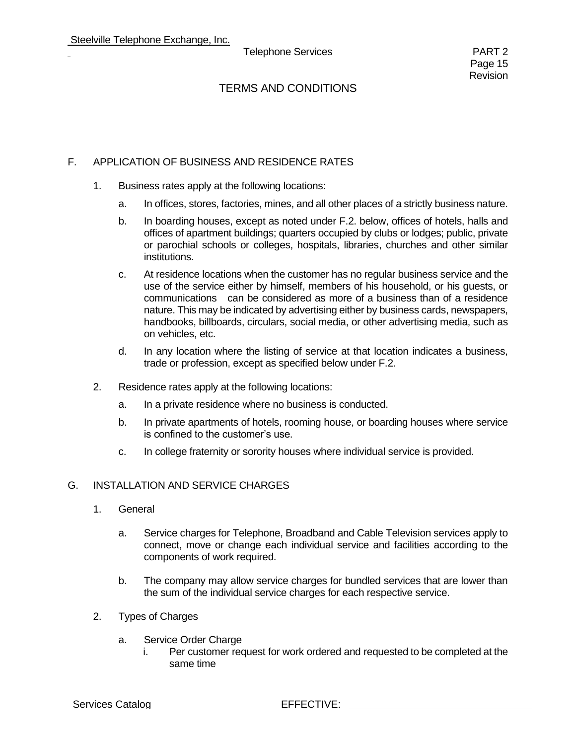#### F. APPLICATION OF BUSINESS AND RESIDENCE RATES

- 1. Business rates apply at the following locations:
	- a. In offices, stores, factories, mines, and all other places of a strictly business nature.
	- b. In boarding houses, except as noted under F.2. below, offices of hotels, halls and offices of apartment buildings; quarters occupied by clubs or lodges; public, private or parochial schools or colleges, hospitals, libraries, churches and other similar institutions.
	- c. At residence locations when the customer has no regular business service and the use of the service either by himself, members of his household, or his guests, or communications can be considered as more of a business than of a residence nature. This may be indicated by advertising either by business cards, newspapers, handbooks, billboards, circulars, social media, or other advertising media, such as on vehicles, etc.
	- d. In any location where the listing of service at that location indicates a business, trade or profession, except as specified below under F.2.
- 2. Residence rates apply at the following locations:
	- a. In a private residence where no business is conducted.
	- b. In private apartments of hotels, rooming house, or boarding houses where service is confined to the customer's use.
	- c. In college fraternity or sorority houses where individual service is provided.

#### G. INSTALLATION AND SERVICE CHARGES

- 1. General
	- a. Service charges for Telephone, Broadband and Cable Television services apply to connect, move or change each individual service and facilities according to the components of work required.
	- b. The company may allow service charges for bundled services that are lower than the sum of the individual service charges for each respective service.
- 2. Types of Charges
	- a. Service Order Charge
		- i. Per customer request for work ordered and requested to be completed at the same time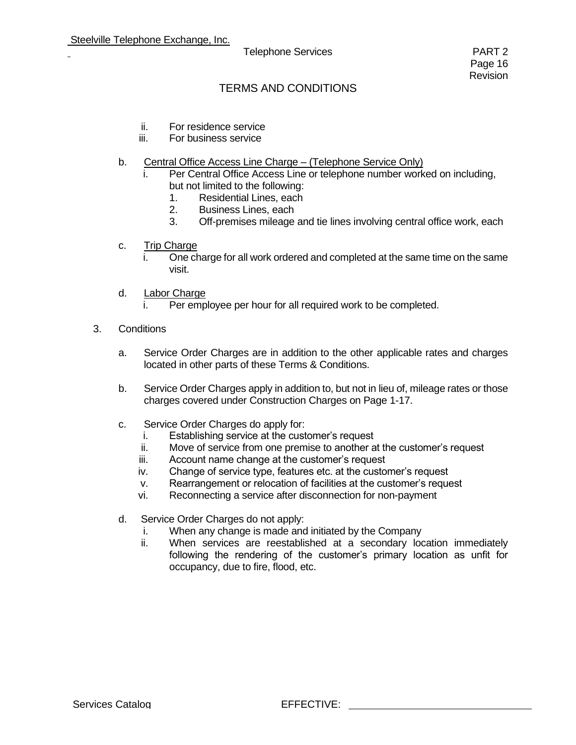- ii. For residence service
- iii. For business service
- b. Central Office Access Line Charge (Telephone Service Only)
	- Per Central Office Access Line or telephone number worked on including, but not limited to the following:
		- 1. Residential Lines, each
		- 2. Business Lines, each
		- 3. Off-premises mileage and tie lines involving central office work, each
- c. Trip Charge
	- i. One charge for all work ordered and completed at the same time on the same visit.
- d. Labor Charge
	- Per employee per hour for all required work to be completed.
- 3. Conditions
	- a. Service Order Charges are in addition to the other applicable rates and charges located in other parts of these Terms & Conditions.
	- b. Service Order Charges apply in addition to, but not in lieu of, mileage rates or those charges covered under Construction Charges on Page 1-17.
	- c. Service Order Charges do apply for:
		- i. Establishing service at the customer's request
		- ii. Move of service from one premise to another at the customer's request
		- iii. Account name change at the customer's request
		- iv. Change of service type, features etc. at the customer's request
		- v. Rearrangement or relocation of facilities at the customer's request
		- vi. Reconnecting a service after disconnection for non-payment
	- d. Service Order Charges do not apply:
		- i. When any change is made and initiated by the Company
		- ii. When services are reestablished at a secondary location immediately following the rendering of the customer's primary location as unfit for occupancy, due to fire, flood, etc.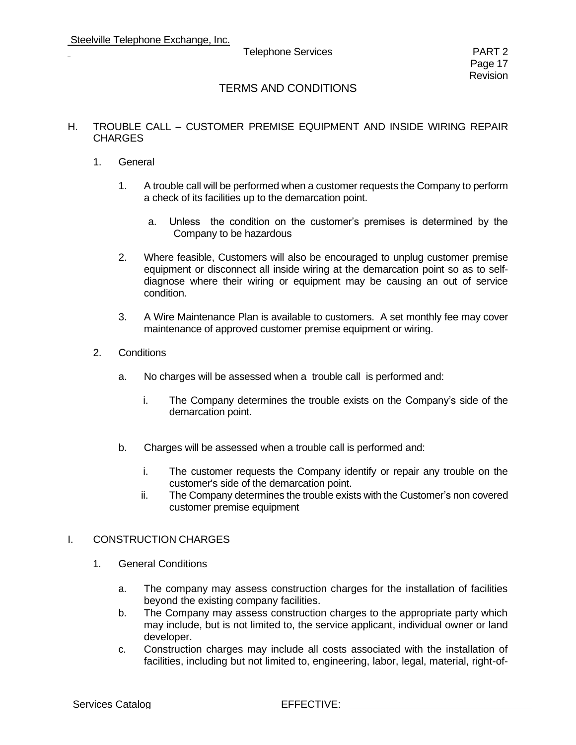#### H. TROUBLE CALL – CUSTOMER PREMISE EQUIPMENT AND INSIDE WIRING REPAIR CHARGES

- 1. General
	- 1. A trouble call will be performed when a customer requests the Company to perform a check of its facilities up to the demarcation point.
		- a. Unless the condition on the customer's premises is determined by the Company to be hazardous
	- 2. Where feasible, Customers will also be encouraged to unplug customer premise equipment or disconnect all inside wiring at the demarcation point so as to selfdiagnose where their wiring or equipment may be causing an out of service condition.
	- 3. A Wire Maintenance Plan is available to customers. A set monthly fee may cover maintenance of approved customer premise equipment or wiring.
- 2. Conditions
	- a. No charges will be assessed when a trouble call is performed and:
		- i. The Company determines the trouble exists on the Company's side of the demarcation point.
	- b. Charges will be assessed when a trouble call is performed and:
		- i. The customer requests the Company identify or repair any trouble on the customer's side of the demarcation point.
		- ii. The Company determines the trouble exists with the Customer's non covered customer premise equipment

#### I. CONSTRUCTION CHARGES

- 1. General Conditions
	- a. The company may assess construction charges for the installation of facilities beyond the existing company facilities.
	- b. The Company may assess construction charges to the appropriate party which may include, but is not limited to, the service applicant, individual owner or land developer.
	- c. Construction charges may include all costs associated with the installation of facilities, including but not limited to, engineering, labor, legal, material, right-of-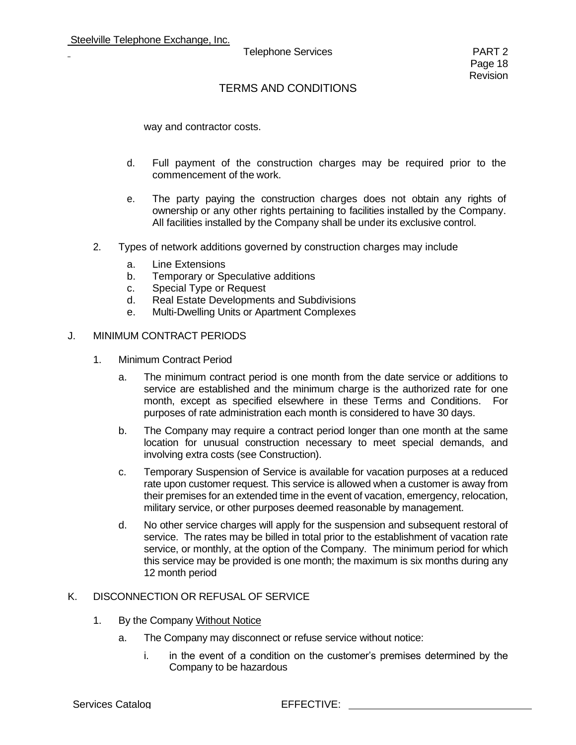### TERMS AND CONDITIONS

way and contractor costs.

- d. Full payment of the construction charges may be required prior to the commencement of the work.
- e. The party paying the construction charges does not obtain any rights of ownership or any other rights pertaining to facilities installed by the Company. All facilities installed by the Company shall be under its exclusive control.
- 2. Types of network additions governed by construction charges may include
	- a. Line Extensions
	- b. Temporary or Speculative additions
	- c. Special Type or Request
	- d. Real Estate Developments and Subdivisions
	- e. Multi-Dwelling Units or Apartment Complexes

#### J. MINIMUM CONTRACT PERIODS

- 1. Minimum Contract Period
	- a. The minimum contract period is one month from the date service or additions to service are established and the minimum charge is the authorized rate for one month, except as specified elsewhere in these Terms and Conditions. For purposes of rate administration each month is considered to have 30 days.
	- b. The Company may require a contract period longer than one month at the same location for unusual construction necessary to meet special demands, and involving extra costs (see Construction).
	- c. Temporary Suspension of Service is available for vacation purposes at a reduced rate upon customer request. This service is allowed when a customer is away from their premises for an extended time in the event of vacation, emergency, relocation, military service, or other purposes deemed reasonable by management.
	- d. No other service charges will apply for the suspension and subsequent restoral of service. The rates may be billed in total prior to the establishment of vacation rate service, or monthly, at the option of the Company. The minimum period for which this service may be provided is one month; the maximum is six months during any 12 month period

#### K. DISCONNECTION OR REFUSAL OF SERVICE

- 1. By the Company Without Notice
	- a. The Company may disconnect or refuse service without notice:
		- i. in the event of a condition on the customer's premises determined by the Company to be hazardous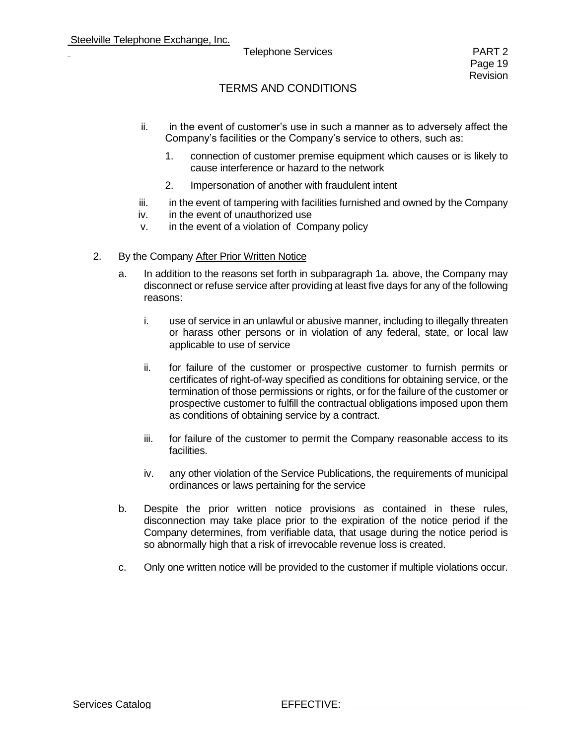- ii. in the event of customer's use in such a manner as to adversely affect the Company's facilities or the Company's service to others, such as:
	- 1. connection of customer premise equipment which causes or is likely to cause interference or hazard to the network
	- 2. Impersonation of another with fraudulent intent
- iii. in the event of tampering with facilities furnished and owned by the Company
- iv. in the event of unauthorized use
- v. in the event of a violation of Company policy
- 2. By the Company After Prior Written Notice
	- a. In addition to the reasons set forth in subparagraph 1a. above, the Company may disconnect or refuse service after providing at least five days for any of the following reasons:
		- i. use of service in an unlawful or abusive manner, including to illegally threaten or harass other persons or in violation of any federal, state, or local law applicable to use of service
		- ii. for failure of the customer or prospective customer to furnish permits or certificates of right-of-way specified as conditions for obtaining service, or the termination of those permissions or rights, or for the failure of the customer or prospective customer to fulfill the contractual obligations imposed upon them as conditions of obtaining service by a contract.
		- iii. for failure of the customer to permit the Company reasonable access to its facilities.
		- iv. any other violation of the Service Publications, the requirements of municipal ordinances or laws pertaining for the service
	- b. Despite the prior written notice provisions as contained in these rules, disconnection may take place prior to the expiration of the notice period if the Company determines, from verifiable data, that usage during the notice period is so abnormally high that a risk of irrevocable revenue loss is created.
	- c. Only one written notice will be provided to the customer if multiple violations occur.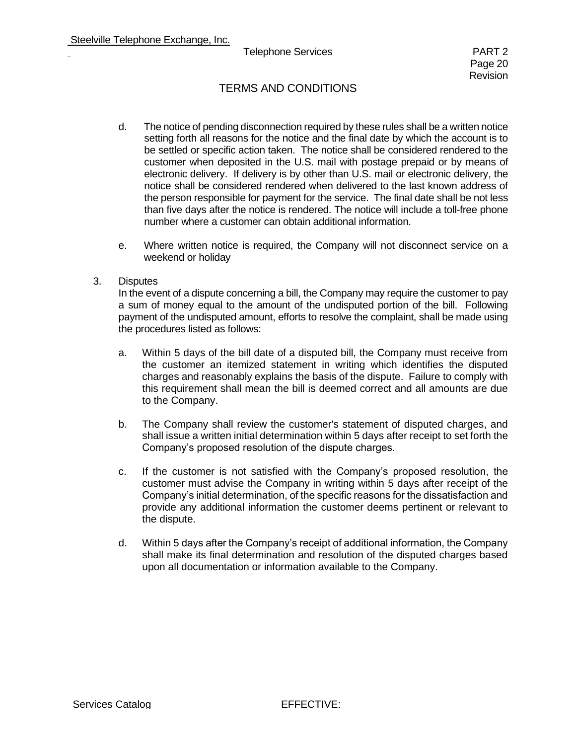## TERMS AND CONDITIONS

- d. The notice of pending disconnection required by these rules shall be a written notice setting forth all reasons for the notice and the final date by which the account is to be settled or specific action taken. The notice shall be considered rendered to the customer when deposited in the U.S. mail with postage prepaid or by means of electronic delivery. If delivery is by other than U.S. mail or electronic delivery, the notice shall be considered rendered when delivered to the last known address of the person responsible for payment for the service. The final date shall be not less than five days after the notice is rendered. The notice will include a toll-free phone number where a customer can obtain additional information.
- e. Where written notice is required, the Company will not disconnect service on a weekend or holiday
- 3. Disputes

In the event of a dispute concerning a bill, the Company may require the customer to pay a sum of money equal to the amount of the undisputed portion of the bill. Following payment of the undisputed amount, efforts to resolve the complaint, shall be made using the procedures listed as follows:

- a. Within 5 days of the bill date of a disputed bill, the Company must receive from the customer an itemized statement in writing which identifies the disputed charges and reasonably explains the basis of the dispute. Failure to comply with this requirement shall mean the bill is deemed correct and all amounts are due to the Company.
- b. The Company shall review the customer's statement of disputed charges, and shall issue a written initial determination within 5 days after receipt to set forth the Company's proposed resolution of the dispute charges.
- c. If the customer is not satisfied with the Company's proposed resolution, the customer must advise the Company in writing within 5 days after receipt of the Company's initial determination, of the specific reasons for the dissatisfaction and provide any additional information the customer deems pertinent or relevant to the dispute.
- d. Within 5 days after the Company's receipt of additional information, the Company shall make its final determination and resolution of the disputed charges based upon all documentation or information available to the Company.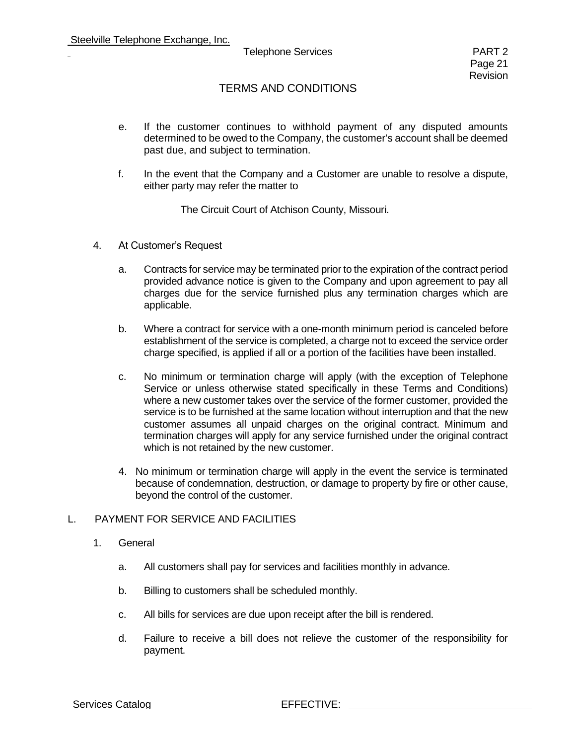## TERMS AND CONDITIONS

- e. If the customer continues to withhold payment of any disputed amounts determined to be owed to the Company, the customer's account shall be deemed past due, and subject to termination.
- f. In the event that the Company and a Customer are unable to resolve a dispute, either party may refer the matter to

The Circuit Court of Atchison County, Missouri.

- 4. At Customer's Request
	- a. Contracts for service may be terminated prior to the expiration of the contract period provided advance notice is given to the Company and upon agreement to pay all charges due for the service furnished plus any termination charges which are applicable.
	- b. Where a contract for service with a one-month minimum period is canceled before establishment of the service is completed, a charge not to exceed the service order charge specified, is applied if all or a portion of the facilities have been installed.
	- c. No minimum or termination charge will apply (with the exception of Telephone Service or unless otherwise stated specifically in these Terms and Conditions) where a new customer takes over the service of the former customer, provided the service is to be furnished at the same location without interruption and that the new customer assumes all unpaid charges on the original contract. Minimum and termination charges will apply for any service furnished under the original contract which is not retained by the new customer.
	- 4. No minimum or termination charge will apply in the event the service is terminated because of condemnation, destruction, or damage to property by fire or other cause, beyond the control of the customer.

#### L. PAYMENT FOR SERVICE AND FACILITIES

- 1. General
	- a. All customers shall pay for services and facilities monthly in advance.
	- b. Billing to customers shall be scheduled monthly.
	- c. All bills for services are due upon receipt after the bill is rendered.
	- d. Failure to receive a bill does not relieve the customer of the responsibility for payment.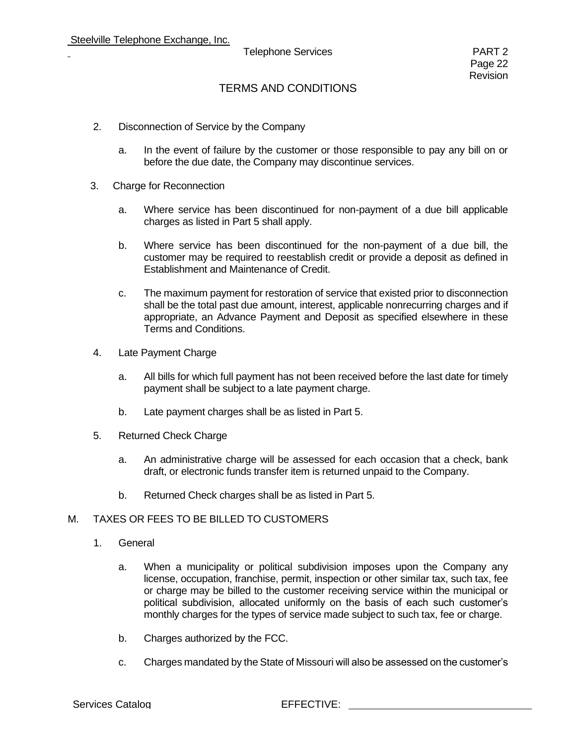## TERMS AND CONDITIONS

- 2. Disconnection of Service by the Company
	- a. In the event of failure by the customer or those responsible to pay any bill on or before the due date, the Company may discontinue services.
- 3. Charge for Reconnection
	- a. Where service has been discontinued for non-payment of a due bill applicable charges as listed in Part 5 shall apply.
	- b. Where service has been discontinued for the non-payment of a due bill, the customer may be required to reestablish credit or provide a deposit as defined in Establishment and Maintenance of Credit.
	- c. The maximum payment for restoration of service that existed prior to disconnection shall be the total past due amount, interest, applicable nonrecurring charges and if appropriate, an Advance Payment and Deposit as specified elsewhere in these Terms and Conditions.
- 4. Late Payment Charge
	- a. All bills for which full payment has not been received before the last date for timely payment shall be subject to a late payment charge.
	- b. Late payment charges shall be as listed in Part 5.
- 5. Returned Check Charge
	- a. An administrative charge will be assessed for each occasion that a check, bank draft, or electronic funds transfer item is returned unpaid to the Company.
	- b. Returned Check charges shall be as listed in Part 5.

### M. TAXES OR FEES TO BE BILLED TO CUSTOMERS

- 1. General
	- a. When a municipality or political subdivision imposes upon the Company any license, occupation, franchise, permit, inspection or other similar tax, such tax, fee or charge may be billed to the customer receiving service within the municipal or political subdivision, allocated uniformly on the basis of each such customer's monthly charges for the types of service made subject to such tax, fee or charge.
	- b. Charges authorized by the FCC.
	- c. Charges mandated by the State of Missouri will also be assessed on the customer's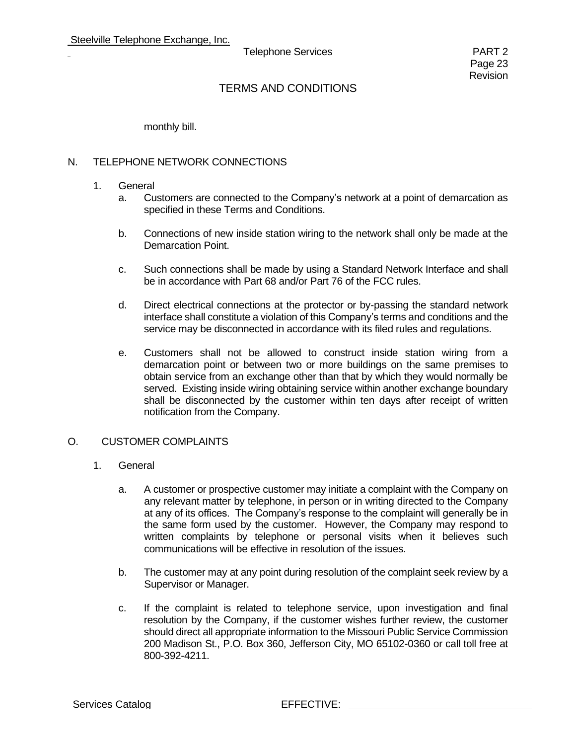monthly bill.

#### N. TELEPHONE NETWORK CONNECTIONS

- 1. General
	- a. Customers are connected to the Company's network at a point of demarcation as specified in these Terms and Conditions.
	- b. Connections of new inside station wiring to the network shall only be made at the Demarcation Point.
	- c. Such connections shall be made by using a Standard Network Interface and shall be in accordance with Part 68 and/or Part 76 of the FCC rules.
	- d. Direct electrical connections at the protector or by-passing the standard network interface shall constitute a violation of this Company's terms and conditions and the service may be disconnected in accordance with its filed rules and regulations.
	- e. Customers shall not be allowed to construct inside station wiring from a demarcation point or between two or more buildings on the same premises to obtain service from an exchange other than that by which they would normally be served. Existing inside wiring obtaining service within another exchange boundary shall be disconnected by the customer within ten days after receipt of written notification from the Company.

#### O. CUSTOMER COMPLAINTS

- 1. General
	- a. A customer or prospective customer may initiate a complaint with the Company on any relevant matter by telephone, in person or in writing directed to the Company at any of its offices. The Company's response to the complaint will generally be in the same form used by the customer. However, the Company may respond to written complaints by telephone or personal visits when it believes such communications will be effective in resolution of the issues.
	- b. The customer may at any point during resolution of the complaint seek review by a Supervisor or Manager.
	- c. If the complaint is related to telephone service, upon investigation and final resolution by the Company, if the customer wishes further review, the customer should direct all appropriate information to the Missouri Public Service Commission 200 Madison St., P.O. Box 360, Jefferson City, MO 65102-0360 or call toll free at 800-392-4211.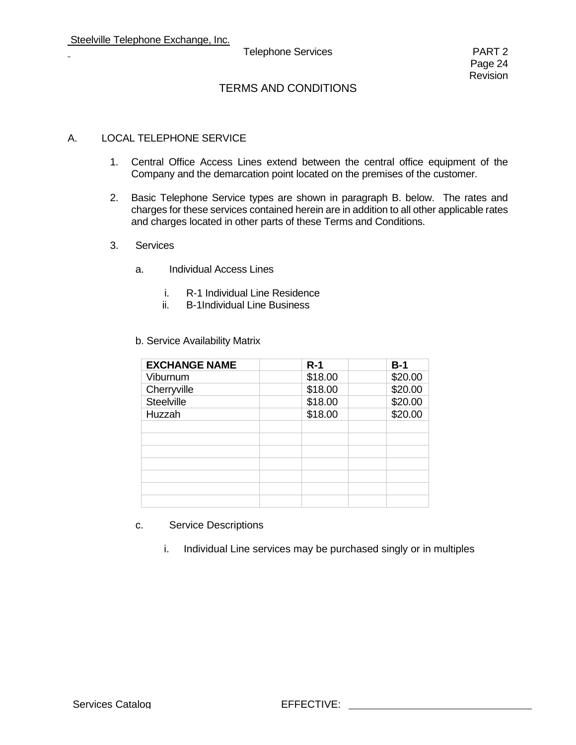## TERMS AND CONDITIONS

#### A. LOCAL TELEPHONE SERVICE

- 1. Central Office Access Lines extend between the central office equipment of the Company and the demarcation point located on the premises of the customer.
- 2. Basic Telephone Service types are shown in paragraph B. below. The rates and charges for these services contained herein are in addition to all other applicable rates and charges located in other parts of these Terms and Conditions.
- 3. Services
	- a. Individual Access Lines
		- i. R-1 Individual Line Residence
		- ii. B-1Individual Line Business

| <b>EXCHANGE NAME</b> | $R-1$   | $B-1$   |
|----------------------|---------|---------|
| Viburnum             | \$18.00 | \$20.00 |
| Cherryville          | \$18.00 | \$20.00 |
| Steelville           | \$18.00 | \$20.00 |
| Huzzah               | \$18.00 | \$20.00 |
|                      |         |         |
|                      |         |         |
|                      |         |         |
|                      |         |         |
|                      |         |         |
|                      |         |         |
|                      |         |         |

b. Service Availability Matrix

- c. Service Descriptions
	- i. Individual Line services may be purchased singly or in multiples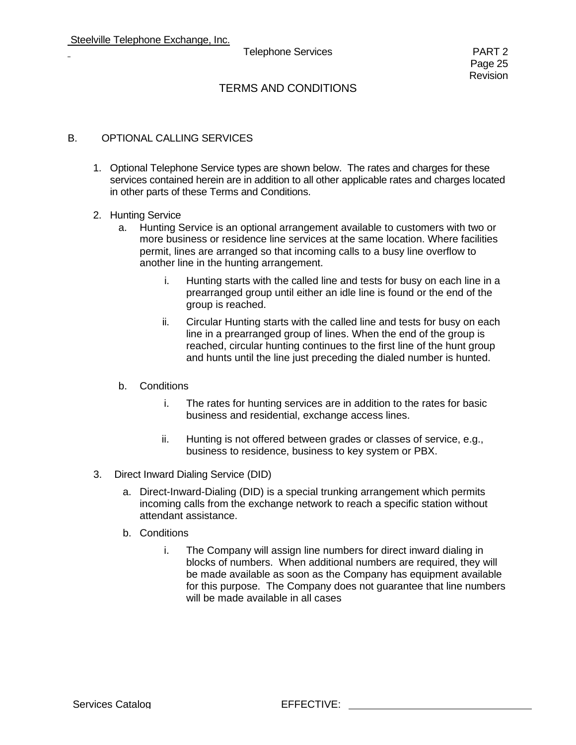## TERMS AND CONDITIONS

#### B. OPTIONAL CALLING SERVICES

- 1. Optional Telephone Service types are shown below. The rates and charges for these services contained herein are in addition to all other applicable rates and charges located in other parts of these Terms and Conditions.
- 2. Hunting Service
	- a. Hunting Service is an optional arrangement available to customers with two or more business or residence line services at the same location. Where facilities permit, lines are arranged so that incoming calls to a busy line overflow to another line in the hunting arrangement.
		- i. Hunting starts with the called line and tests for busy on each line in a prearranged group until either an idle line is found or the end of the group is reached.
		- ii. Circular Hunting starts with the called line and tests for busy on each line in a prearranged group of lines. When the end of the group is reached, circular hunting continues to the first line of the hunt group and hunts until the line just preceding the dialed number is hunted.
	- b. Conditions
		- i. The rates for hunting services are in addition to the rates for basic business and residential, exchange access lines.
		- ii. Hunting is not offered between grades or classes of service, e.g., business to residence, business to key system or PBX.
- 3. Direct Inward Dialing Service (DID)
	- a. Direct-Inward-Dialing (DID) is a special trunking arrangement which permits incoming calls from the exchange network to reach a specific station without attendant assistance.
	- b. Conditions
		- i. The Company will assign line numbers for direct inward dialing in blocks of numbers. When additional numbers are required, they will be made available as soon as the Company has equipment available for this purpose. The Company does not guarantee that line numbers will be made available in all cases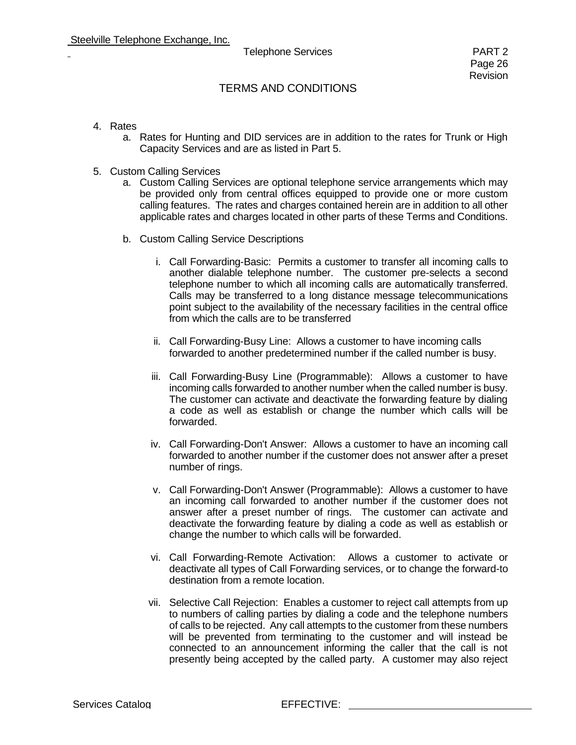- 4. Rates
	- a. Rates for Hunting and DID services are in addition to the rates for Trunk or High Capacity Services and are as listed in Part 5.
- 5. Custom Calling Services
	- a. Custom Calling Services are optional telephone service arrangements which may be provided only from central offices equipped to provide one or more custom calling features. The rates and charges contained herein are in addition to all other applicable rates and charges located in other parts of these Terms and Conditions.
	- b. Custom Calling Service Descriptions
		- i. Call Forwarding-Basic: Permits a customer to transfer all incoming calls to another dialable telephone number. The customer pre-selects a second telephone number to which all incoming calls are automatically transferred. Calls may be transferred to a long distance message telecommunications point subject to the availability of the necessary facilities in the central office from which the calls are to be transferred
		- ii. Call Forwarding-Busy Line: Allows a customer to have incoming calls forwarded to another predetermined number if the called number is busy.
		- iii. Call Forwarding-Busy Line (Programmable): Allows a customer to have incoming calls forwarded to another number when the called number is busy. The customer can activate and deactivate the forwarding feature by dialing a code as well as establish or change the number which calls will be forwarded.
		- iv. Call Forwarding-Don't Answer: Allows a customer to have an incoming call forwarded to another number if the customer does not answer after a preset number of rings.
		- v. Call Forwarding-Don't Answer (Programmable): Allows a customer to have an incoming call forwarded to another number if the customer does not answer after a preset number of rings. The customer can activate and deactivate the forwarding feature by dialing a code as well as establish or change the number to which calls will be forwarded.
		- vi. Call Forwarding-Remote Activation: Allows a customer to activate or deactivate all types of Call Forwarding services, or to change the forward-to destination from a remote location.
		- vii. Selective Call Rejection: Enables a customer to reject call attempts from up to numbers of calling parties by dialing a code and the telephone numbers of calls to be rejected. Any call attempts to the customer from these numbers will be prevented from terminating to the customer and will instead be connected to an announcement informing the caller that the call is not presently being accepted by the called party. A customer may also reject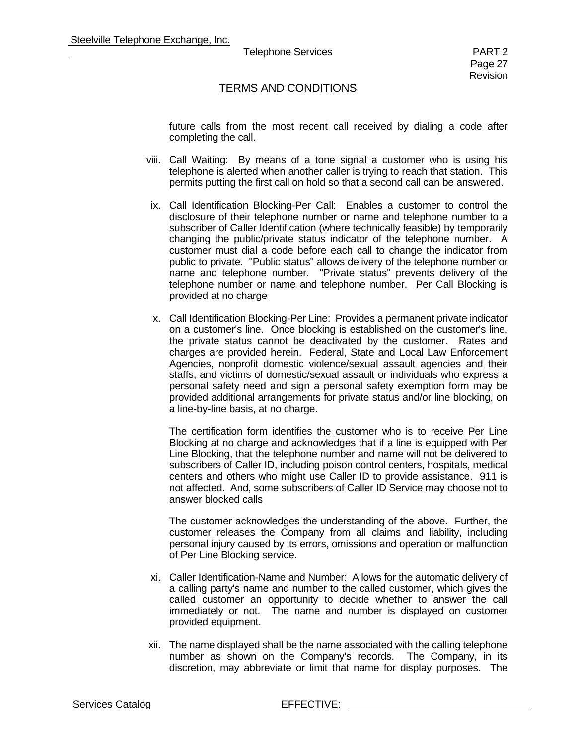#### TERMS AND CONDITIONS

future calls from the most recent call received by dialing a code after completing the call.

- viii. Call Waiting: By means of a tone signal a customer who is using his telephone is alerted when another caller is trying to reach that station. This permits putting the first call on hold so that a second call can be answered.
- ix. Call Identification Blocking-Per Call: Enables a customer to control the disclosure of their telephone number or name and telephone number to a subscriber of Caller Identification (where technically feasible) by temporarily changing the public/private status indicator of the telephone number. A customer must dial a code before each call to change the indicator from public to private. "Public status" allows delivery of the telephone number or name and telephone number. "Private status" prevents delivery of the telephone number or name and telephone number. Per Call Blocking is provided at no charge
- x. Call Identification Blocking-Per Line: Provides a permanent private indicator on a customer's line. Once blocking is established on the customer's line, the private status cannot be deactivated by the customer. Rates and charges are provided herein. Federal, State and Local Law Enforcement Agencies, nonprofit domestic violence/sexual assault agencies and their staffs, and victims of domestic/sexual assault or individuals who express a personal safety need and sign a personal safety exemption form may be provided additional arrangements for private status and/or line blocking, on a line-by-line basis, at no charge.

The certification form identifies the customer who is to receive Per Line Blocking at no charge and acknowledges that if a line is equipped with Per Line Blocking, that the telephone number and name will not be delivered to subscribers of Caller ID, including poison control centers, hospitals, medical centers and others who might use Caller ID to provide assistance. 911 is not affected. And, some subscribers of Caller ID Service may choose not to answer blocked calls

The customer acknowledges the understanding of the above. Further, the customer releases the Company from all claims and liability, including personal injury caused by its errors, omissions and operation or malfunction of Per Line Blocking service.

- xi. Caller Identification-Name and Number: Allows for the automatic delivery of a calling party's name and number to the called customer, which gives the called customer an opportunity to decide whether to answer the call immediately or not. The name and number is displayed on customer provided equipment.
- xii. The name displayed shall be the name associated with the calling telephone number as shown on the Company's records. The Company, in its discretion, may abbreviate or limit that name for display purposes. The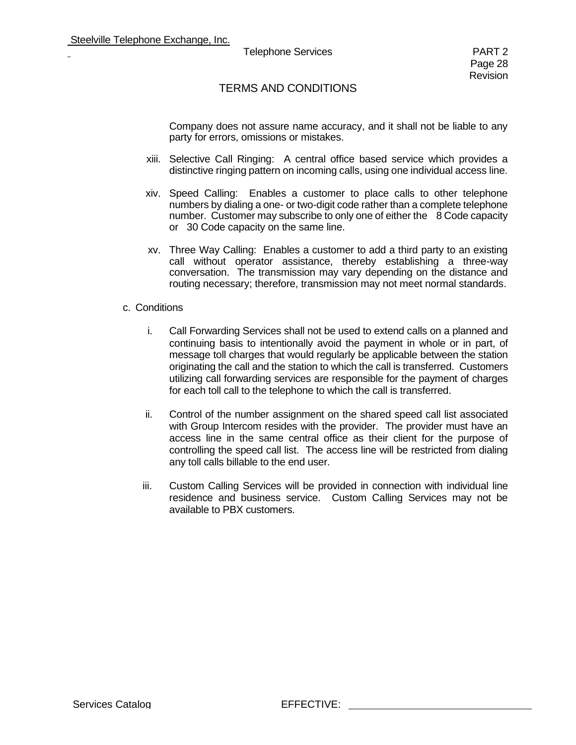Company does not assure name accuracy, and it shall not be liable to any party for errors, omissions or mistakes.

- xiii. Selective Call Ringing: A central office based service which provides a distinctive ringing pattern on incoming calls, using one individual access line.
- xiv. Speed Calling: Enables a customer to place calls to other telephone numbers by dialing a one- or two-digit code rather than a complete telephone number. Customer may subscribe to only one of either the 8 Code capacity or 30 Code capacity on the same line.
- xv. Three Way Calling: Enables a customer to add a third party to an existing call without operator assistance, thereby establishing a three-way conversation. The transmission may vary depending on the distance and routing necessary; therefore, transmission may not meet normal standards.

#### c. Conditions

- i. Call Forwarding Services shall not be used to extend calls on a planned and continuing basis to intentionally avoid the payment in whole or in part, of message toll charges that would regularly be applicable between the station originating the call and the station to which the call is transferred. Customers utilizing call forwarding services are responsible for the payment of charges for each toll call to the telephone to which the call is transferred.
- ii. Control of the number assignment on the shared speed call list associated with Group Intercom resides with the provider. The provider must have an access line in the same central office as their client for the purpose of controlling the speed call list. The access line will be restricted from dialing any toll calls billable to the end user.
- iii. Custom Calling Services will be provided in connection with individual line residence and business service. Custom Calling Services may not be available to PBX customers.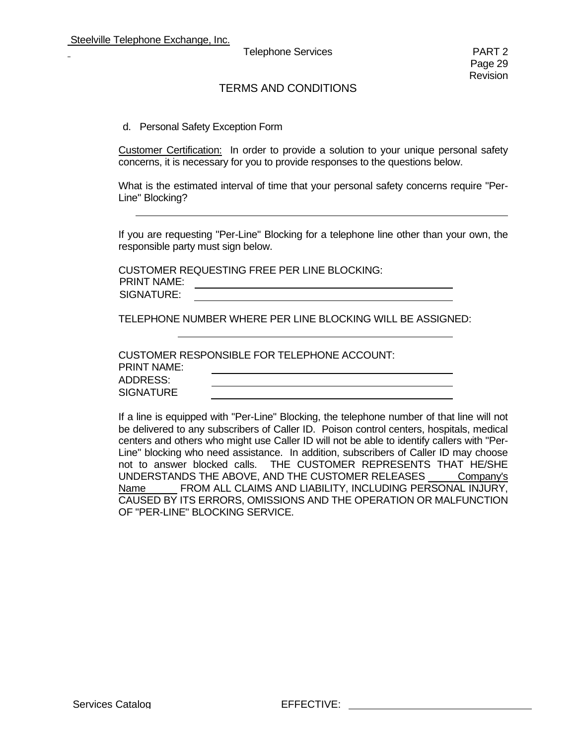### TERMS AND CONDITIONS

#### d. Personal Safety Exception Form

Customer Certification: In order to provide a solution to your unique personal safety concerns, it is necessary for you to provide responses to the questions below.

What is the estimated interval of time that your personal safety concerns require "Per-Line" Blocking?

If you are requesting "Per-Line" Blocking for a telephone line other than your own, the responsible party must sign below.

CUSTOMER REQUESTING FREE PER LINE BLOCKING: PRINT NAME: <u> 1989 - Johann Barbara, martin amerikan basa</u> SIGNATURE:

TELEPHONE NUMBER WHERE PER LINE BLOCKING WILL BE ASSIGNED:

|                    | CUSTOMER RESPONSIBLE FOR TELEPHONE ACCOUNT: |  |
|--------------------|---------------------------------------------|--|
| <b>PRINT NAME:</b> |                                             |  |
| ADDRESS:           |                                             |  |
| <b>SIGNATURE</b>   |                                             |  |
|                    |                                             |  |

If a line is equipped with "Per-Line" Blocking, the telephone number of that line will not be delivered to any subscribers of Caller ID. Poison control centers, hospitals, medical centers and others who might use Caller ID will not be able to identify callers with "Per-Line" blocking who need assistance. In addition, subscribers of Caller ID may choose not to answer blocked calls. THE CUSTOMER REPRESENTS THAT HE/SHE UNDERSTANDS THE ABOVE, AND THE CUSTOMER RELEASES Company's Name FROM ALL CLAIMS AND LIABILITY, INCLUDING PERSONAL INJURY, CAUSED BY ITS ERRORS, OMISSIONS AND THE OPERATION OR MALFUNCTION OF "PER-LINE" BLOCKING SERVICE.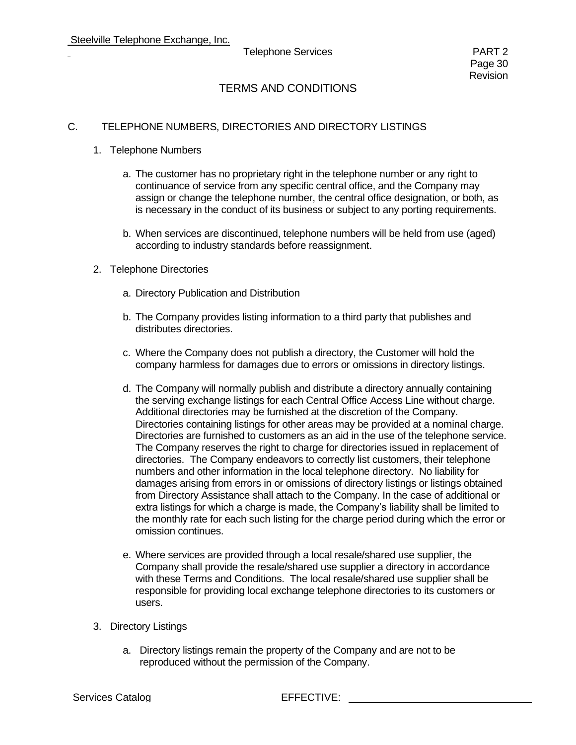## TERMS AND CONDITIONS

#### C. TELEPHONE NUMBERS, DIRECTORIES AND DIRECTORY LISTINGS

- 1. Telephone Numbers
	- a. The customer has no proprietary right in the telephone number or any right to continuance of service from any specific central office, and the Company may assign or change the telephone number, the central office designation, or both, as is necessary in the conduct of its business or subject to any porting requirements.
	- b. When services are discontinued, telephone numbers will be held from use (aged) according to industry standards before reassignment.
- 2. Telephone Directories
	- a. Directory Publication and Distribution
	- b. The Company provides listing information to a third party that publishes and distributes directories.
	- c. Where the Company does not publish a directory, the Customer will hold the company harmless for damages due to errors or omissions in directory listings.
	- d. The Company will normally publish and distribute a directory annually containing the serving exchange listings for each Central Office Access Line without charge. Additional directories may be furnished at the discretion of the Company. Directories containing listings for other areas may be provided at a nominal charge. Directories are furnished to customers as an aid in the use of the telephone service. The Company reserves the right to charge for directories issued in replacement of directories. The Company endeavors to correctly list customers, their telephone numbers and other information in the local telephone directory. No liability for damages arising from errors in or omissions of directory listings or listings obtained from Directory Assistance shall attach to the Company. In the case of additional or extra listings for which a charge is made, the Company's liability shall be limited to the monthly rate for each such listing for the charge period during which the error or omission continues.
	- e. Where services are provided through a local resale/shared use supplier, the Company shall provide the resale/shared use supplier a directory in accordance with these Terms and Conditions. The local resale/shared use supplier shall be responsible for providing local exchange telephone directories to its customers or users.
- 3. Directory Listings
	- a. Directory listings remain the property of the Company and are not to be reproduced without the permission of the Company.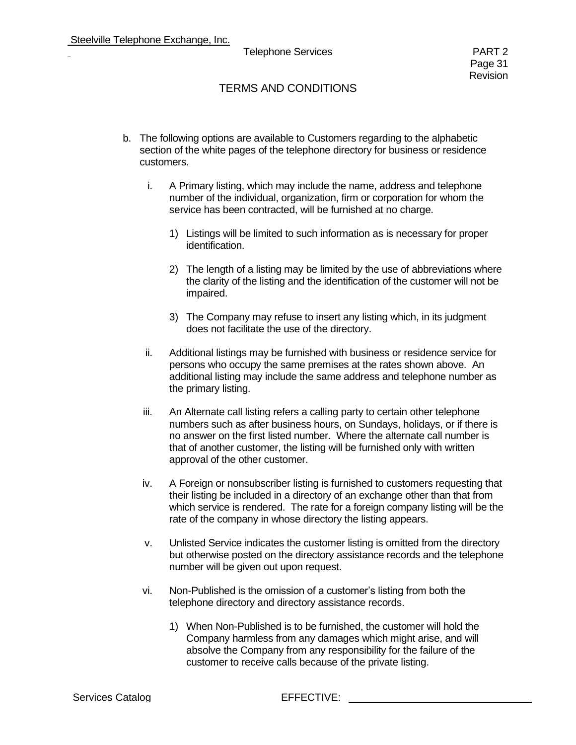- b. The following options are available to Customers regarding to the alphabetic section of the white pages of the telephone directory for business or residence customers.
	- i. A Primary listing, which may include the name, address and telephone number of the individual, organization, firm or corporation for whom the service has been contracted, will be furnished at no charge.
		- 1) Listings will be limited to such information as is necessary for proper identification.
		- 2) The length of a listing may be limited by the use of abbreviations where the clarity of the listing and the identification of the customer will not be impaired.
		- 3) The Company may refuse to insert any listing which, in its judgment does not facilitate the use of the directory.
	- ii. Additional listings may be furnished with business or residence service for persons who occupy the same premises at the rates shown above. An additional listing may include the same address and telephone number as the primary listing.
	- iii. An Alternate call listing refers a calling party to certain other telephone numbers such as after business hours, on Sundays, holidays, or if there is no answer on the first listed number. Where the alternate call number is that of another customer, the listing will be furnished only with written approval of the other customer.
	- iv. A Foreign or nonsubscriber listing is furnished to customers requesting that their listing be included in a directory of an exchange other than that from which service is rendered. The rate for a foreign company listing will be the rate of the company in whose directory the listing appears.
	- v. Unlisted Service indicates the customer listing is omitted from the directory but otherwise posted on the directory assistance records and the telephone number will be given out upon request.
	- vi. Non-Published is the omission of a customer's listing from both the telephone directory and directory assistance records.
		- 1) When Non-Published is to be furnished, the customer will hold the Company harmless from any damages which might arise, and will absolve the Company from any responsibility for the failure of the customer to receive calls because of the private listing.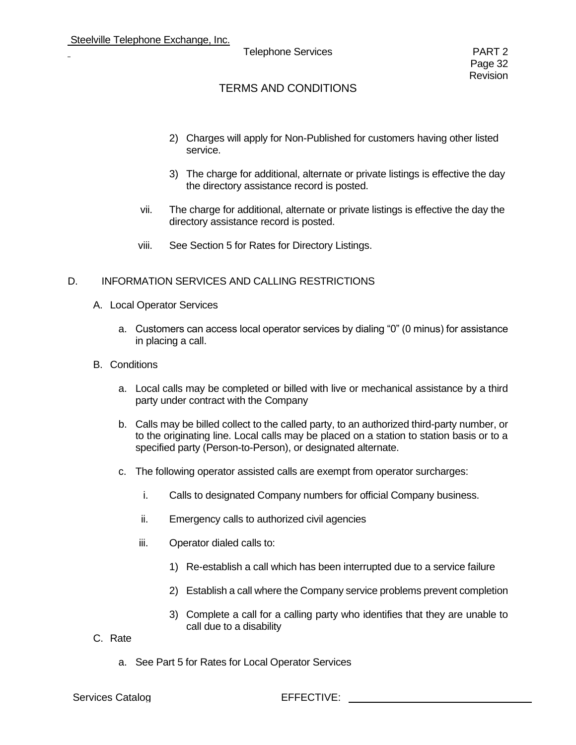- 2) Charges will apply for Non-Published for customers having other listed service.
- 3) The charge for additional, alternate or private listings is effective the day the directory assistance record is posted.
- vii. The charge for additional, alternate or private listings is effective the day the directory assistance record is posted.
- viii. See Section 5 for Rates for Directory Listings.

#### D. INFORMATION SERVICES AND CALLING RESTRICTIONS

- A. Local Operator Services
	- a. Customers can access local operator services by dialing "0" (0 minus) for assistance in placing a call.
- B. Conditions
	- a. Local calls may be completed or billed with live or mechanical assistance by a third party under contract with the Company
	- b. Calls may be billed collect to the called party, to an authorized third-party number, or to the originating line. Local calls may be placed on a station to station basis or to a specified party (Person-to-Person), or designated alternate.
	- c. The following operator assisted calls are exempt from operator surcharges:
		- i. Calls to designated Company numbers for official Company business.
		- ii. Emergency calls to authorized civil agencies
		- iii. Operator dialed calls to:
			- 1) Re-establish a call which has been interrupted due to a service failure
			- 2) Establish a call where the Company service problems prevent completion
			- 3) Complete a call for a calling party who identifies that they are unable to call due to a disability
- C. Rate
	- a. See Part 5 for Rates for Local Operator Services

#### Services Catalog EFFECTIVE: \_\_\_\_\_\_\_\_\_\_\_\_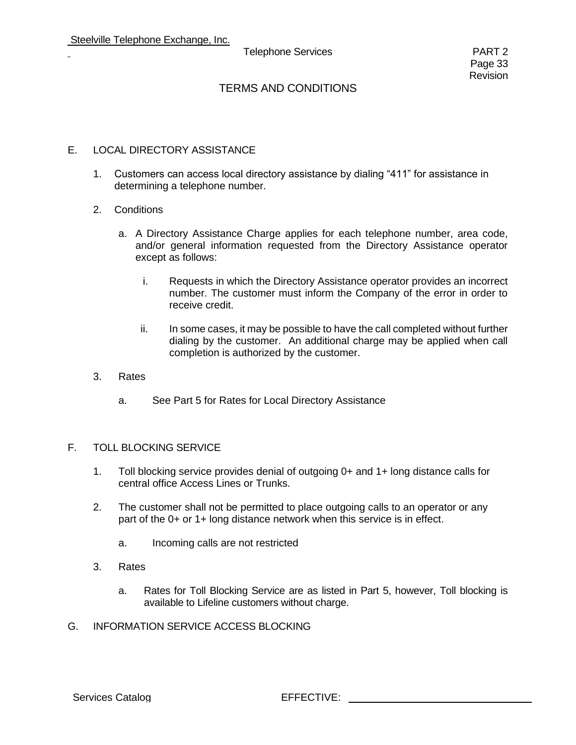## TERMS AND CONDITIONS

#### E. LOCAL DIRECTORY ASSISTANCE

- 1. Customers can access local directory assistance by dialing "411" for assistance in determining a telephone number.
- 2. Conditions
	- a. A Directory Assistance Charge applies for each telephone number, area code, and/or general information requested from the Directory Assistance operator except as follows:
		- i. Requests in which the Directory Assistance operator provides an incorrect number. The customer must inform the Company of the error in order to receive credit.
		- ii. In some cases, it may be possible to have the call completed without further dialing by the customer. An additional charge may be applied when call completion is authorized by the customer.
- 3. Rates
	- a. See Part 5 for Rates for Local Directory Assistance

#### F. TOLL BLOCKING SERVICE

- 1. Toll blocking service provides denial of outgoing 0+ and 1+ long distance calls for central office Access Lines or Trunks.
- 2. The customer shall not be permitted to place outgoing calls to an operator or any part of the 0+ or 1+ long distance network when this service is in effect.
	- a. Incoming calls are not restricted
- 3. Rates
	- a. Rates for Toll Blocking Service are as listed in Part 5, however, Toll blocking is available to Lifeline customers without charge.
- G. INFORMATION SERVICE ACCESS BLOCKING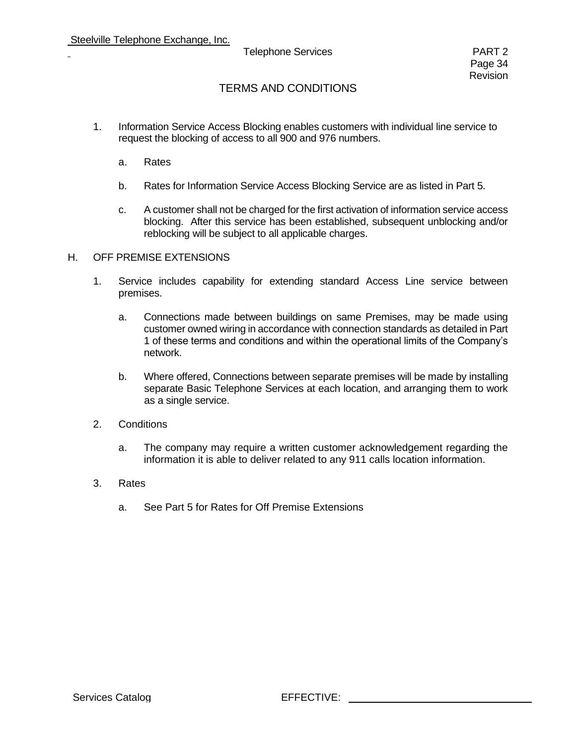## TERMS AND CONDITIONS

- 1. Information Service Access Blocking enables customers with individual line service to request the blocking of access to all 900 and 976 numbers.
	- a. Rates
	- b. Rates for Information Service Access Blocking Service are as listed in Part 5.
	- c. A customer shall not be charged for the first activation of information service access blocking. After this service has been established, subsequent unblocking and/or reblocking will be subject to all applicable charges.

#### H. OFF PREMISE EXTENSIONS

- 1. Service includes capability for extending standard Access Line service between premises.
	- a. Connections made between buildings on same Premises, may be made using customer owned wiring in accordance with connection standards as detailed in Part 1 of these terms and conditions and within the operational limits of the Company's network.
	- b. Where offered, Connections between separate premises will be made by installing separate Basic Telephone Services at each location, and arranging them to work as a single service.
- 2. Conditions
	- a. The company may require a written customer acknowledgement regarding the information it is able to deliver related to any 911 calls location information.
- 3. Rates
	- a. See Part 5 for Rates for Off Premise Extensions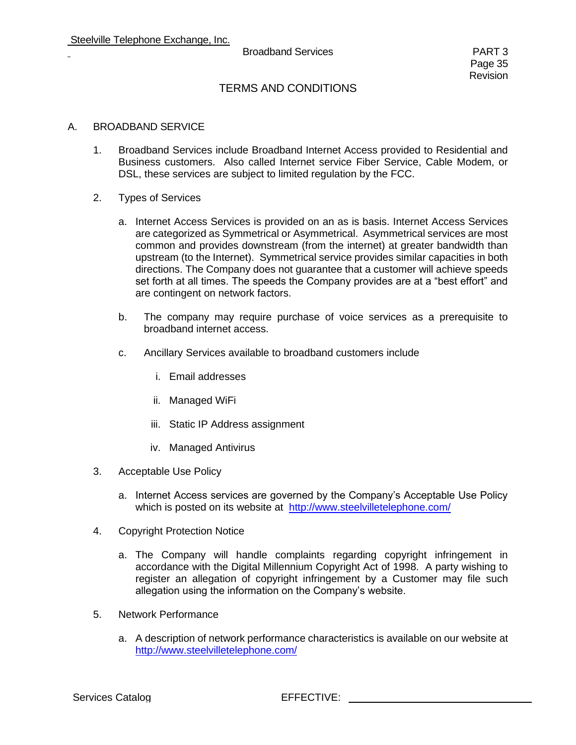#### Broadband Services **PART 3**

## TERMS AND CONDITIONS

#### A. BROADBAND SERVICE

- 1. Broadband Services include Broadband Internet Access provided to Residential and Business customers. Also called Internet service Fiber Service, Cable Modem, or DSL, these services are subject to limited regulation by the FCC.
- 2. Types of Services
	- a. Internet Access Services is provided on an as is basis. Internet Access Services are categorized as Symmetrical or Asymmetrical. Asymmetrical services are most common and provides downstream (from the internet) at greater bandwidth than upstream (to the Internet). Symmetrical service provides similar capacities in both directions. The Company does not guarantee that a customer will achieve speeds set forth at all times. The speeds the Company provides are at a "best effort" and are contingent on network factors.
	- b. The company may require purchase of voice services as a prerequisite to broadband internet access.
	- c. Ancillary Services available to broadband customers include
		- i. Email addresses
		- ii. Managed WiFi
		- iii. Static IP Address assignment
		- iv. Managed Antivirus
- 3. Acceptable Use Policy
	- a. Internet Access services are governed by the Company's Acceptable Use Policy which is posted on its website at <http://www.steelvilletelephone.com/>
- 4. Copyright Protection Notice
	- a. The Company will handle complaints regarding copyright infringement in accordance with the Digital Millennium Copyright Act of 1998. A party wishing to register an allegation of copyright infringement by a Customer may file such allegation using the information on the Company's website.
- 5. Network Performance
	- a. A description of network performance characteristics is available on our website at <http://www.steelvilletelephone.com/>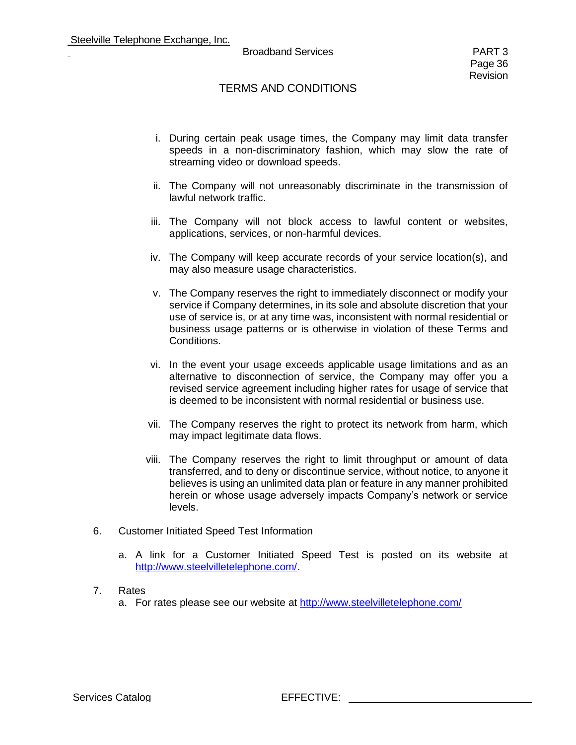#### Broadband Services **PART 3**

- i. During certain peak usage times, the Company may limit data transfer speeds in a non-discriminatory fashion, which may slow the rate of streaming video or download speeds.
- ii. The Company will not unreasonably discriminate in the transmission of lawful network traffic.
- iii. The Company will not block access to lawful content or websites, applications, services, or non-harmful devices.
- iv. The Company will keep accurate records of your service location(s), and may also measure usage characteristics.
- v. The Company reserves the right to immediately disconnect or modify your service if Company determines, in its sole and absolute discretion that your use of service is, or at any time was, inconsistent with normal residential or business usage patterns or is otherwise in violation of these Terms and Conditions.
- vi. In the event your usage exceeds applicable usage limitations and as an alternative to disconnection of service, the Company may offer you a revised service agreement including higher rates for usage of service that is deemed to be inconsistent with normal residential or business use.
- vii. The Company reserves the right to protect its network from harm, which may impact legitimate data flows.
- viii. The Company reserves the right to limit throughput or amount of data transferred, and to deny or discontinue service, without notice, to anyone it believes is using an unlimited data plan or feature in any manner prohibited herein or whose usage adversely impacts Company's network or service levels.
- 6. Customer Initiated Speed Test Information
	- a. A link for a Customer Initiated Speed Test is posted on its website at [http://www.steelvilletelephone.com/.](http://www.steelvilletelephone.com/)
- 7. Rates
	- a. For rates please see our website at<http://www.steelvilletelephone.com/>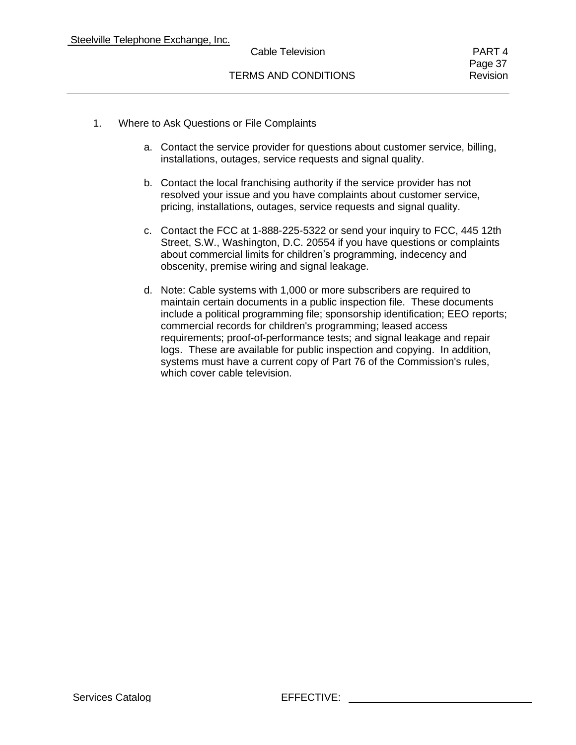Page 37

- 1. Where to Ask Questions or File Complaints
	- a. Contact the service provider for questions about customer service, billing, installations, outages, service requests and signal quality.
	- b. Contact the local franchising authority if the service provider has not resolved your issue and you have complaints about customer service, pricing, installations, outages, service requests and signal quality.
	- c. Contact the FCC at 1-888-225-5322 or send your inquiry to FCC, 445 12th Street, S.W., Washington, D.C. 20554 if you have questions or complaints about commercial limits for children's programming, indecency and obscenity, premise wiring and signal leakage.
	- d. Note: Cable systems with 1,000 or more subscribers are required to maintain certain documents in a public inspection file. These documents include a political programming file; sponsorship identification; EEO reports; commercial records for children's programming; leased access requirements; proof-of-performance tests; and signal leakage and repair logs. These are available for public inspection and copying. In addition, systems must have a current copy of Part 76 of the Commission's rules, which cover cable television.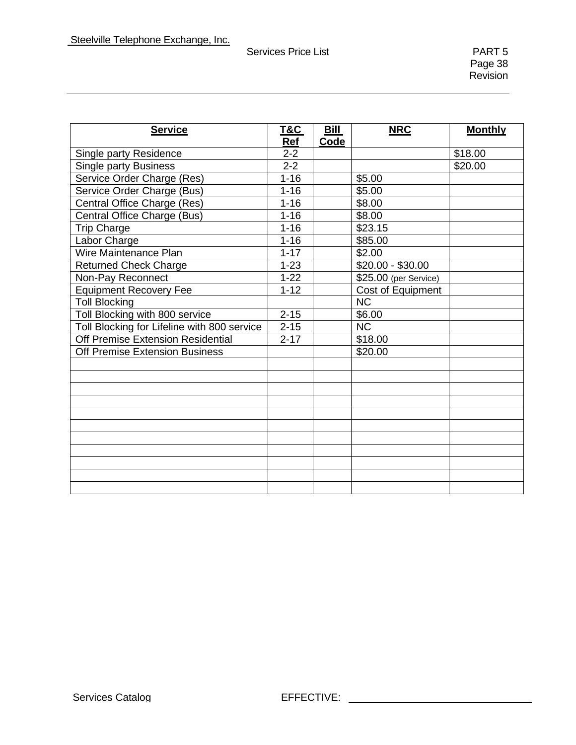| <b>Service</b>                              | T&C      | Bill | <b>NRC</b>             | <b>Monthly</b> |
|---------------------------------------------|----------|------|------------------------|----------------|
|                                             | Ref      | Code |                        |                |
| Single party Residence                      | $2 - 2$  |      |                        | \$18.00        |
| <b>Single party Business</b>                | $2 - 2$  |      |                        | \$20.00        |
| Service Order Charge (Res)                  | $1 - 16$ |      | \$5.00                 |                |
| Service Order Charge (Bus)                  | $1 - 16$ |      | \$5.00                 |                |
| Central Office Charge (Res)                 | $1 - 16$ |      | \$8.00                 |                |
| Central Office Charge (Bus)                 | $1 - 16$ |      | \$8.00                 |                |
| <b>Trip Charge</b>                          | $1 - 16$ |      | \$23.15                |                |
| Labor Charge                                | $1 - 16$ |      | \$85.00                |                |
| Wire Maintenance Plan                       | $1 - 17$ |      | \$2.00                 |                |
| <b>Returned Check Charge</b>                | $1 - 23$ |      | $$20.00 - $30.00$      |                |
| Non-Pay Reconnect                           | $1 - 22$ |      | $$25.00$ (per Service) |                |
| <b>Equipment Recovery Fee</b>               | $1 - 12$ |      | Cost of Equipment      |                |
| <b>Toll Blocking</b>                        |          |      | $\overline{\text{NC}}$ |                |
| Toll Blocking with 800 service              | $2 - 15$ |      | \$6.00                 |                |
| Toll Blocking for Lifeline with 800 service | $2 - 15$ |      | NC                     |                |
| Off Premise Extension Residential           | $2 - 17$ |      | \$18.00                |                |
| <b>Off Premise Extension Business</b>       |          |      | \$20.00                |                |
|                                             |          |      |                        |                |
|                                             |          |      |                        |                |
|                                             |          |      |                        |                |
|                                             |          |      |                        |                |
|                                             |          |      |                        |                |
|                                             |          |      |                        |                |
|                                             |          |      |                        |                |
|                                             |          |      |                        |                |
|                                             |          |      |                        |                |
|                                             |          |      |                        |                |
|                                             |          |      |                        |                |